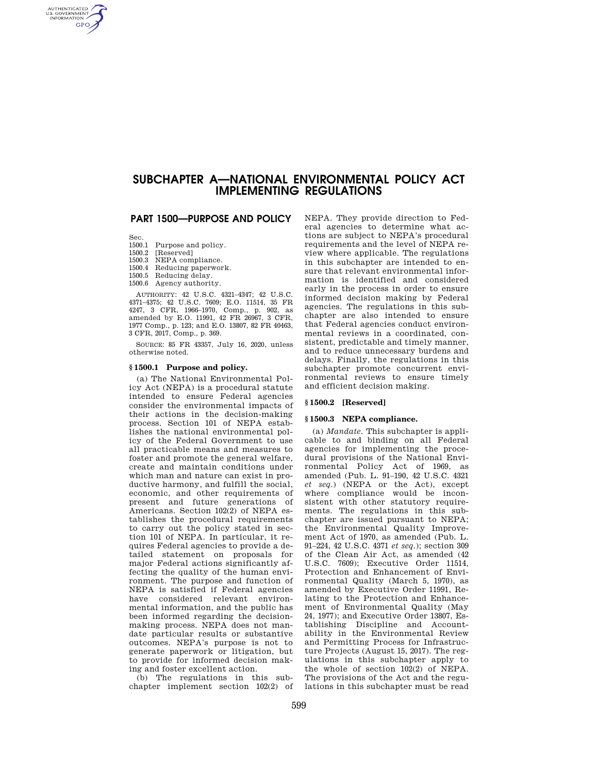# **SUBCHAPTER A—NATIONAL ENVIRONMENTAL POLICY ACT IMPLEMENTING REGULATIONS**

# **PART 1500—PURPOSE AND POLICY**

Sec.

AUTHENTICATED<br>U.S. GOVERNMENT<br>INFORMATION **GPO** 

1500.1 Purpose and policy.

1500.2 [Reserved]

1500.3 NEPA compliance.

1500.4 Reducing paperwork.

1500.5 Reducing delay.

1500.6 Agency authority.

AUTHORITY: 42 U.S.C. 4321–4347; 42 U.S.C. 4371–4375; 42 U.S.C. 7609; E.O. 11514, 35 FR 4247, 3 CFR, 1966–1970, Comp., p. 902, as amended by E.O. 11991, 42 FR 26967, 3 CFR, 1977 Comp., p. 123; and E.O. 13807, 82 FR 40463, 3 CFR, 2017, Comp., p. 369.

SOURCE: 85 FR 43357, July 16, 2020, unless otherwise noted.

#### **§ 1500.1 Purpose and policy.**

(a) The National Environmental Policy Act (NEPA) is a procedural statute intended to ensure Federal agencies consider the environmental impacts of their actions in the decision-making process. Section 101 of NEPA establishes the national environmental policy of the Federal Government to use all practicable means and measures to foster and promote the general welfare, create and maintain conditions under which man and nature can exist in productive harmony, and fulfill the social, economic, and other requirements of present and future generations of Americans. Section 102(2) of NEPA establishes the procedural requirements to carry out the policy stated in section 101 of NEPA. In particular, it requires Federal agencies to provide a detailed statement on proposals for major Federal actions significantly affecting the quality of the human environment. The purpose and function of NEPA is satisfied if Federal agencies have considered relevant environmental information, and the public has been informed regarding the decisionmaking process. NEPA does not mandate particular results or substantive outcomes. NEPA's purpose is not to generate paperwork or litigation, but to provide for informed decision making and foster excellent action.

(b) The regulations in this subchapter implement section 102(2) of NEPA. They provide direction to Federal agencies to determine what actions are subject to NEPA's procedural requirements and the level of NEPA review where applicable. The regulations in this subchapter are intended to ensure that relevant environmental information is identified and considered early in the process in order to ensure informed decision making by Federal agencies. The regulations in this subchapter are also intended to ensure that Federal agencies conduct environmental reviews in a coordinated, consistent, predictable and timely manner, and to reduce unnecessary burdens and delays. Finally, the regulations in this subchapter promote concurrent environmental reviews to ensure timely and efficient decision making.

#### **§ 1500.2 [Reserved]**

### **§ 1500.3 NEPA compliance.**

(a) *Mandate.* This subchapter is applicable to and binding on all Federal agencies for implementing the procedural provisions of the National Environmental Policy Act of 1969, as amended (Pub. L. 91–190, 42 U.S.C. 4321 *et seq.*) (NEPA or the Act), except where compliance would be inconsistent with other statutory requirements. The regulations in this subchapter are issued pursuant to NEPA; the Environmental Quality Improvement Act of 1970, as amended (Pub. L. 91–224, 42 U.S.C. 4371 *et seq.*); section 309 of the Clean Air Act, as amended (42 U.S.C. 7609); Executive Order 11514, Protection and Enhancement of Environmental Quality (March 5, 1970), as amended by Executive Order 11991, Relating to the Protection and Enhancement of Environmental Quality (May 24, 1977); and Executive Order 13807, Establishing Discipline and Accountability in the Environmental Review and Permitting Process for Infrastructure Projects (August 15, 2017). The regulations in this subchapter apply to the whole of section 102(2) of NEPA. The provisions of the Act and the regulations in this subchapter must be read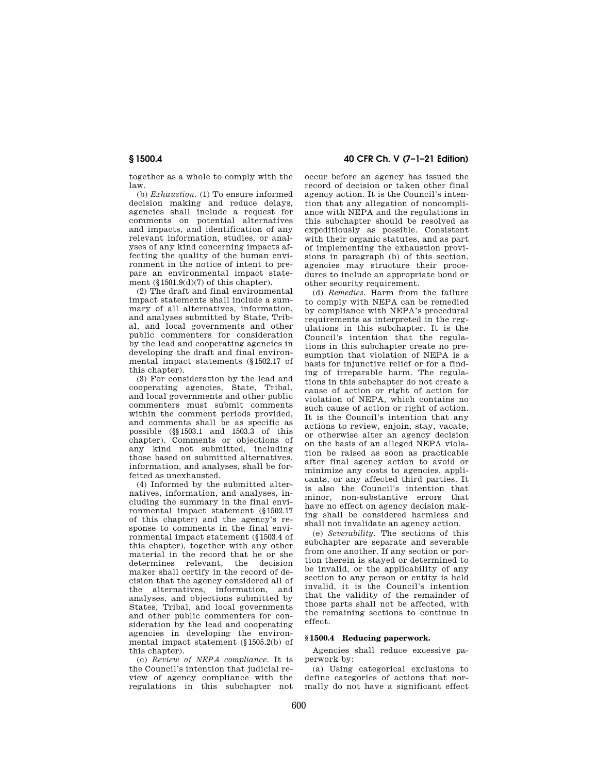together as a whole to comply with the law.

(b) *Exhaustion.* (1) To ensure informed decision making and reduce delays, agencies shall include a request for comments on potential alternatives and impacts, and identification of any relevant information, studies, or analyses of any kind concerning impacts affecting the quality of the human environment in the notice of intent to prepare an environmental impact statement  $(\S 1501.9(d)(7)$  of this chapter).

(2) The draft and final environmental impact statements shall include a summary of all alternatives, information, and analyses submitted by State, Tribal, and local governments and other public commenters for consideration by the lead and cooperating agencies in developing the draft and final environmental impact statements (§1502.17 of this chapter).

(3) For consideration by the lead and cooperating agencies, State, Tribal, and local governments and other public commenters must submit comments within the comment periods provided, and comments shall be as specific as possible (§§1503.1 and 1503.3 of this chapter). Comments or objections of any kind not submitted, including those based on submitted alternatives, information, and analyses, shall be forfeited as unexhausted.

(4) Informed by the submitted alternatives, information, and analyses, including the summary in the final environmental impact statement (§1502.17 of this chapter) and the agency's response to comments in the final environmental impact statement (§1503.4 of this chapter), together with any other material in the record that he or she<br>determines relevant. the decision determines relevant, the maker shall certify in the record of decision that the agency considered all of the alternatives, information, and analyses, and objections submitted by States, Tribal, and local governments and other public commenters for consideration by the lead and cooperating agencies in developing the environmental impact statement (§1505.2(b) of this chapter).

(c) *Review of NEPA compliance.* It is the Council's intention that judicial review of agency compliance with the regulations in this subchapter not

**§ 1500.4 40 CFR Ch. V (7–1–21 Edition)** 

occur before an agency has issued the record of decision or taken other final agency action. It is the Council's intention that any allegation of noncompliance with NEPA and the regulations in this subchapter should be resolved as expeditiously as possible. Consistent with their organic statutes, and as part of implementing the exhaustion provisions in paragraph (b) of this section, agencies may structure their procedures to include an appropriate bond or other security requirement.

(d) *Remedies.* Harm from the failure to comply with NEPA can be remedied by compliance with NEPA's procedural requirements as interpreted in the regulations in this subchapter. It is the Council's intention that the regulations in this subchapter create no presumption that violation of NEPA is a basis for injunctive relief or for a finding of irreparable harm. The regulations in this subchapter do not create a cause of action or right of action for violation of NEPA, which contains no such cause of action or right of action. It is the Council's intention that any actions to review, enjoin, stay, vacate, or otherwise alter an agency decision on the basis of an alleged NEPA violation be raised as soon as practicable after final agency action to avoid or minimize any costs to agencies, applicants, or any affected third parties. It is also the Council's intention that minor, non-substantive errors that have no effect on agency decision making shall be considered harmless and shall not invalidate an agency action.

(e) *Severability.* The sections of this subchapter are separate and severable from one another. If any section or portion therein is stayed or determined to be invalid, or the applicability of any section to any person or entity is held invalid, it is the Council's intention that the validity of the remainder of those parts shall not be affected, with the remaining sections to continue in effect.

## **§ 1500.4 Reducing paperwork.**

Agencies shall reduce excessive paperwork by:

(a) Using categorical exclusions to define categories of actions that normally do not have a significant effect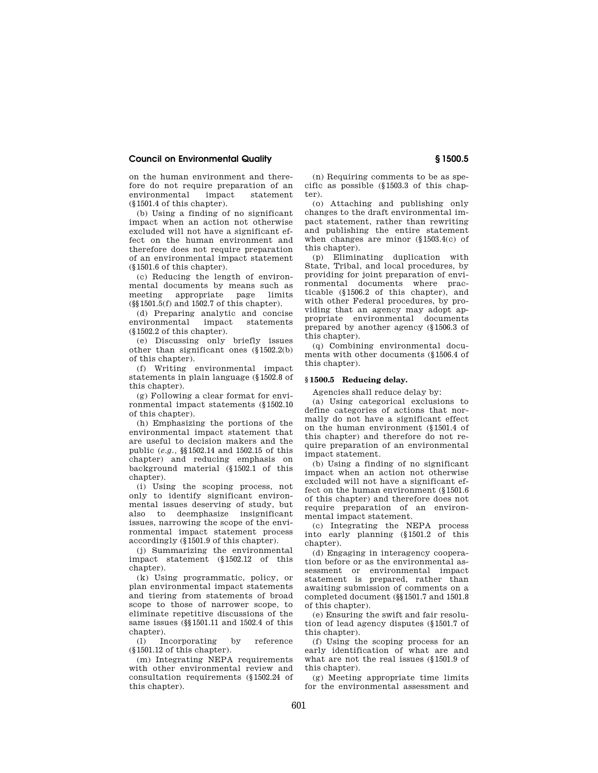## **Council on Environmental Quality § 1500.5**

on the human environment and therefore do not require preparation of an environmental impact statement (§1501.4 of this chapter).

(b) Using a finding of no significant impact when an action not otherwise excluded will not have a significant effect on the human environment and therefore does not require preparation of an environmental impact statement (§1501.6 of this chapter).

(c) Reducing the length of environmental documents by means such as<br>meeting appropriate page limits appropriate page (§§1501.5(f) and 1502.7 of this chapter).

(d) Preparing analytic and concise environmental impact statements (§1502.2 of this chapter).

(e) Discussing only briefly issues other than significant ones (§1502.2(b) of this chapter).

(f) Writing environmental impact statements in plain language (§1502.8 of this chapter).

(g) Following a clear format for environmental impact statements (§1502.10 of this chapter).

(h) Emphasizing the portions of the environmental impact statement that are useful to decision makers and the public (*e.g.,* §§1502.14 and 1502.15 of this chapter) and reducing emphasis on background material (§1502.1 of this chapter).

(i) Using the scoping process, not only to identify significant environmental issues deserving of study, but also to deemphasize insignificant issues, narrowing the scope of the environmental impact statement process accordingly (§1501.9 of this chapter).

(j) Summarizing the environmental impact statement (§1502.12 of this chapter).

(k) Using programmatic, policy, or plan environmental impact statements and tiering from statements of broad scope to those of narrower scope, to eliminate repetitive discussions of the same issues (§§1501.11 and 1502.4 of this chapter).

(l) Incorporating by reference (§1501.12 of this chapter).

(m) Integrating NEPA requirements with other environmental review and consultation requirements (§1502.24 of this chapter).

(n) Requiring comments to be as specific as possible (§1503.3 of this chapter).

(o) Attaching and publishing only changes to the draft environmental impact statement, rather than rewriting and publishing the entire statement when changes are minor (§1503.4(c) of this chapter).

(p) Eliminating duplication with State, Tribal, and local procedures, by providing for joint preparation of environmental documents where practicable (§1506.2 of this chapter), and with other Federal procedures, by providing that an agency may adopt appropriate environmental documents prepared by another agency (§1506.3 of this chapter).

(q) Combining environmental documents with other documents (§1506.4 of this chapter).

## **§ 1500.5 Reducing delay.**

Agencies shall reduce delay by:

(a) Using categorical exclusions to define categories of actions that normally do not have a significant effect on the human environment (§1501.4 of this chapter) and therefore do not require preparation of an environmental impact statement.

(b) Using a finding of no significant impact when an action not otherwise excluded will not have a significant effect on the human environment (§1501.6 of this chapter) and therefore does not require preparation of an environmental impact statement.

(c) Integrating the NEPA process into early planning (§1501.2 of this chapter).

(d) Engaging in interagency cooperation before or as the environmental assessment or environmental impact statement is prepared, rather than awaiting submission of comments on a completed document (§§1501.7 and 1501.8 of this chapter).

(e) Ensuring the swift and fair resolution of lead agency disputes (§1501.7 of this chapter).

(f) Using the scoping process for an early identification of what are and what are not the real issues (§1501.9 of this chapter).

(g) Meeting appropriate time limits for the environmental assessment and